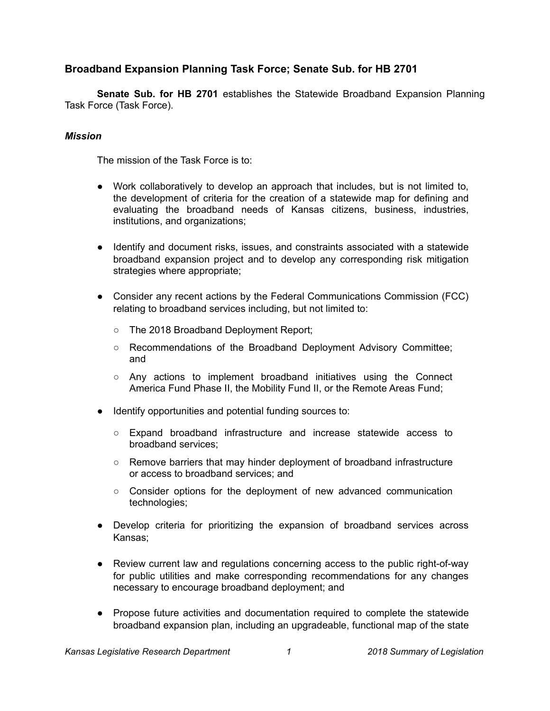# **Broadband Expansion Planning Task Force; Senate Sub. for HB 2701**

**Senate Sub. for HB 2701** establishes the Statewide Broadband Expansion Planning Task Force (Task Force).

## *Mission*

The mission of the Task Force is to:

- Work collaboratively to develop an approach that includes, but is not limited to, the development of criteria for the creation of a statewide map for defining and evaluating the broadband needs of Kansas citizens, business, industries, institutions, and organizations;
- Identify and document risks, issues, and constraints associated with a statewide broadband expansion project and to develop any corresponding risk mitigation strategies where appropriate;
- Consider any recent actions by the Federal Communications Commission (FCC) relating to broadband services including, but not limited to:
	- The 2018 Broadband Deployment Report;
	- Recommendations of the Broadband Deployment Advisory Committee; and
	- $\circ$  Any actions to implement broadband initiatives using the Connect America Fund Phase II, the Mobility Fund II, or the Remote Areas Fund;
- Identify opportunities and potential funding sources to:
	- Expand broadband infrastructure and increase statewide access to broadband services;
	- Remove barriers that may hinder deployment of broadband infrastructure or access to broadband services; and
	- Consider options for the deployment of new advanced communication technologies;
- Develop criteria for prioritizing the expansion of broadband services across Kansas;
- Review current law and regulations concerning access to the public right-of-way for public utilities and make corresponding recommendations for any changes necessary to encourage broadband deployment; and
- Propose future activities and documentation required to complete the statewide broadband expansion plan, including an upgradeable, functional map of the state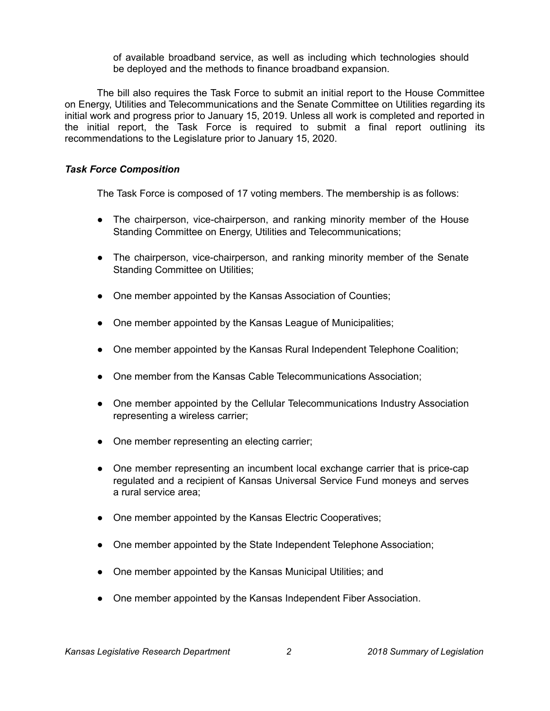of available broadband service, as well as including which technologies should be deployed and the methods to finance broadband expansion.

The bill also requires the Task Force to submit an initial report to the House Committee on Energy, Utilities and Telecommunications and the Senate Committee on Utilities regarding its initial work and progress prior to January 15, 2019. Unless all work is completed and reported in the initial report, the Task Force is required to submit a final report outlining its recommendations to the Legislature prior to January 15, 2020.

### *Task Force Composition*

The Task Force is composed of 17 voting members. The membership is as follows:

- The chairperson, vice-chairperson, and ranking minority member of the House Standing Committee on Energy, Utilities and Telecommunications;
- The chairperson, vice-chairperson, and ranking minority member of the Senate Standing Committee on Utilities;
- One member appointed by the Kansas Association of Counties;
- One member appointed by the Kansas League of Municipalities;
- One member appointed by the Kansas Rural Independent Telephone Coalition;
- One member from the Kansas Cable Telecommunications Association;
- One member appointed by the Cellular Telecommunications Industry Association representing a wireless carrier;
- One member representing an electing carrier;
- One member representing an incumbent local exchange carrier that is price-cap regulated and a recipient of Kansas Universal Service Fund moneys and serves a rural service area;
- One member appointed by the Kansas Electric Cooperatives;
- One member appointed by the State Independent Telephone Association;
- One member appointed by the Kansas Municipal Utilities; and
- One member appointed by the Kansas Independent Fiber Association.